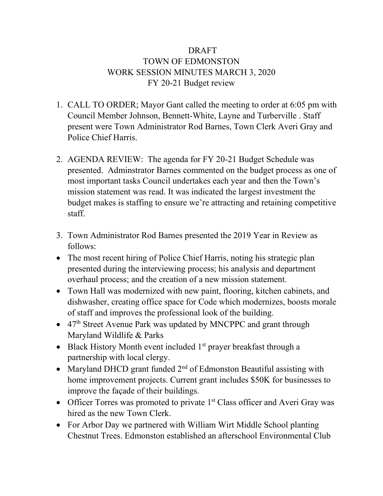## DRAFT TOWN OF EDMONSTON WORK SESSION MINUTES MARCH 3, 2020 FY 20-21 Budget review

- 1. CALL TO ORDER; Mayor Gant called the meeting to order at 6:05 pm with Council Member Johnson, Bennett-White, Layne and Turberville . Staff present were Town Administrator Rod Barnes, Town Clerk Averi Gray and Police Chief Harris.
- 2. AGENDA REVIEW: The agenda for FY 20-21 Budget Schedule was presented. Adminstrator Barnes commented on the budget process as one of most important tasks Council undertakes each year and then the Town's mission statement was read. It was indicated the largest investment the budget makes is staffing to ensure we're attracting and retaining competitive staff.
- 3. Town Administrator Rod Barnes presented the 2019 Year in Review as follows:
- The most recent hiring of Police Chief Harris, noting his strategic plan presented during the interviewing process; his analysis and department overhaul process; and the creation of a new mission statement.
- Town Hall was modernized with new paint, flooring, kitchen cabinets, and dishwasher, creating office space for Code which modernizes, boosts morale of staff and improves the professional look of the building.
- 47<sup>th</sup> Street Avenue Park was updated by MNCPPC and grant through Maryland Wildlife & Parks
- Black History Month event included  $1<sup>st</sup>$  prayer breakfast through a partnership with local clergy.
- Maryland DHCD grant funded  $2<sup>nd</sup>$  of Edmonston Beautiful assisting with home improvement projects. Current grant includes \$50K for businesses to improve the façade of their buildings.
- Officer Torres was promoted to private  $1<sup>st</sup>$  Class officer and Averi Gray was hired as the new Town Clerk.
- For Arbor Day we partnered with William Wirt Middle School planting Chestnut Trees. Edmonston established an afterschool Environmental Club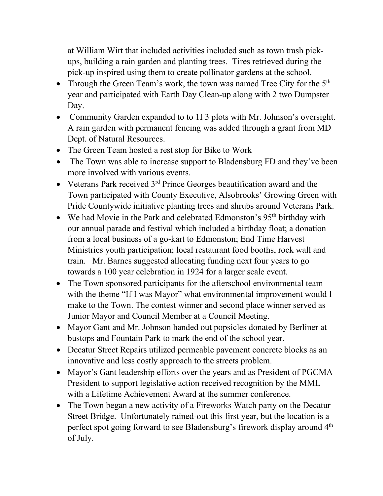at William Wirt that included activities included such as town trash pickups, building a rain garden and planting trees. Tires retrieved during the pick-up inspired using them to create pollinator gardens at the school.

- Through the Green Team's work, the town was named Tree City for the  $5<sup>th</sup>$ year and participated with Earth Day Clean-up along with 2 two Dumpster Day.
- Community Garden expanded to to 11 3 plots with Mr. Johnson's oversight. A rain garden with permanent fencing was added through a grant from MD Dept. of Natural Resources.
- The Green Team hosted a rest stop for Bike to Work
- The Town was able to increase support to Bladensburg FD and they've been more involved with various events.
- Veterans Park received  $3<sup>rd</sup>$  Prince Georges beautification award and the Town participated with County Executive, Alsobrooks' Growing Green with Pride Countywide initiative planting trees and shrubs around Veterans Park.
- We had Movie in the Park and celebrated Edmonston's 95<sup>th</sup> birthday with our annual parade and festival which included a birthday float; a donation from a local business of a go-kart to Edmonston; End Time Harvest Ministries youth participation; local restaurant food booths, rock wall and train. Mr. Barnes suggested allocating funding next four years to go towards a 100 year celebration in 1924 for a larger scale event.
- The Town sponsored participants for the afterschool environmental team with the theme "If I was Mayor" what environmental improvement would I make to the Town. The contest winner and second place winner served as Junior Mayor and Council Member at a Council Meeting.
- Mayor Gant and Mr. Johnson handed out popsicles donated by Berliner at bustops and Fountain Park to mark the end of the school year.
- Decatur Street Repairs utilized permeable pavement concrete blocks as an innovative and less costly approach to the streets problem.
- Mayor's Gant leadership efforts over the years and as President of PGCMA President to support legislative action received recognition by the MML with a Lifetime Achievement Award at the summer conference.
- The Town began a new activity of a Fireworks Watch party on the Decatur Street Bridge. Unfortunately rained-out this first year, but the location is a perfect spot going forward to see Bladensburg's firework display around 4<sup>th</sup> of July.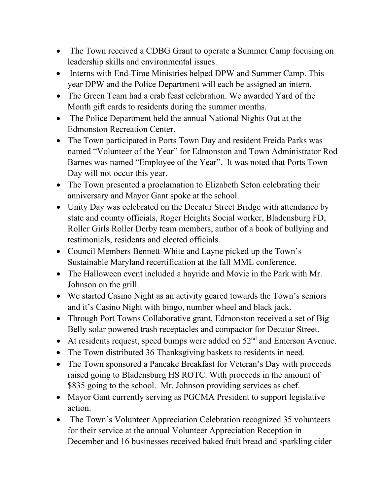- The Town received a CDBG Grant to operate a Summer Camp focusing on leadership skills and environmental issues.
- Interns with End-Time Ministries helped DPW and Summer Camp. This year DPW and the Police Department will each be assigned an intern.
- The Green Team had a crab feast celebration. We awarded Yard of the Month gift cards to residents during the summer months.
- The Police Department held the annual National Nights Out at the Edmonston Recreation Center.
- The Town participated in Ports Town Day and resident Freida Parks was named "Volunteer of the Year" for Edmonston and Town Administrator Rod Barnes was named "Employee of the Year". It was noted that Ports Town Day will not occur this year.
- The Town presented a proclamation to Elizabeth Seton celebrating their anniversary and Mayor Gant spoke at the school.
- Unity Day was celebrated on the Decatur Street Bridge with attendance by state and county officials, Roger Heights Social worker, Bladensburg FD, Roller Girls Roller Derby team members, author of a book of bullying and testimonials, residents and elected officials.
- Council Members Bennett-White and Layne picked up the Town's Sustainable Maryland recertification at the fall MML conference.
- The Halloween event included a hayride and Movie in the Park with Mr. Johnson on the grill.
- We started Casino Night as an activity geared towards the Town's seniors and it's Casino Night with bingo, number wheel and black jack.
- Through Port Towns Collaborative grant, Edmonston received a set of Big Belly solar powered trash receptacles and compactor for Decatur Street.
- At residents request, speed bumps were added on  $52<sup>nd</sup>$  and Emerson Avenue.
- The Town distributed 36 Thanksgiving baskets to residents in need.
- The Town sponsored a Pancake Breakfast for Veteran's Day with proceeds raised going to Bladensburg HS ROTC. With proceeds in the amount of \$835 going to the school. Mr. Johnson providing services as chef.
- Mayor Gant currently serving as PGCMA President to support legislative action.
- The Town's Volunteer Appreciation Celebration recognized 35 volunteers for their service at the annual Volunteer Appreciation Reception in December and 16 businesses received baked fruit bread and sparkling cider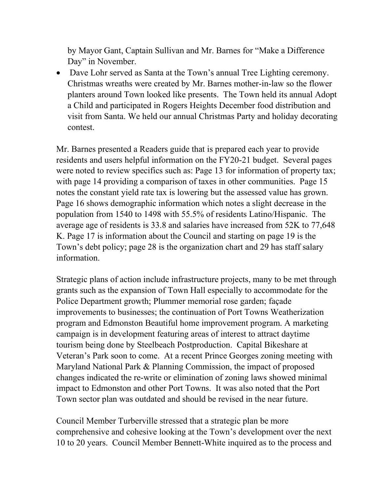by Mayor Gant, Captain Sullivan and Mr. Barnes for "Make a Difference Day" in November.

• Dave Lohr served as Santa at the Town's annual Tree Lighting ceremony. Christmas wreaths were created by Mr. Barnes mother-in-law so the flower planters around Town looked like presents. The Town held its annual Adopt a Child and participated in Rogers Heights December food distribution and visit from Santa. We held our annual Christmas Party and holiday decorating contest.

Mr. Barnes presented a Readers guide that is prepared each year to provide residents and users helpful information on the FY20-21 budget. Several pages were noted to review specifics such as: Page 13 for information of property tax; with page 14 providing a comparison of taxes in other communities. Page 15 notes the constant yield rate tax is lowering but the assessed value has grown. Page 16 shows demographic information which notes a slight decrease in the population from 1540 to 1498 with 55.5% of residents Latino/Hispanic. The average age of residents is 33.8 and salaries have increased from 52K to 77,648 K. Page 17 is information about the Council and starting on page 19 is the Town's debt policy; page 28 is the organization chart and 29 has staff salary information.

Strategic plans of action include infrastructure projects, many to be met through grants such as the expansion of Town Hall especially to accommodate for the Police Department growth; Plummer memorial rose garden; façade improvements to businesses; the continuation of Port Towns Weatherization program and Edmonston Beautiful home improvement program. A marketing campaign is in development featuring areas of interest to attract daytime tourism being done by Steelbeach Postproduction. Capital Bikeshare at Veteran's Park soon to come. At a recent Prince Georges zoning meeting with Maryland National Park & Planning Commission, the impact of proposed changes indicated the re-write or elimination of zoning laws showed minimal impact to Edmonston and other Port Towns. It was also noted that the Port Town sector plan was outdated and should be revised in the near future.

Council Member Turberville stressed that a strategic plan be more comprehensive and cohesive looking at the Town's development over the next 10 to 20 years. Council Member Bennett-White inquired as to the process and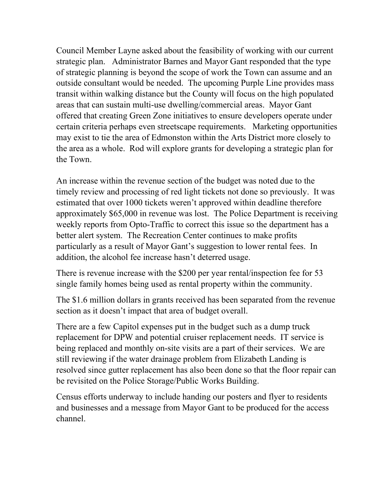Council Member Layne asked about the feasibility of working with our current strategic plan. Administrator Barnes and Mayor Gant responded that the type of strategic planning is beyond the scope of work the Town can assume and an outside consultant would be needed. The upcoming Purple Line provides mass transit within walking distance but the County will focus on the high populated areas that can sustain multi-use dwelling/commercial areas. Mayor Gant offered that creating Green Zone initiatives to ensure developers operate under certain criteria perhaps even streetscape requirements. Marketing opportunities may exist to tie the area of Edmonston within the Arts District more closely to the area as a whole. Rod will explore grants for developing a strategic plan for the Town.

An increase within the revenue section of the budget was noted due to the timely review and processing of red light tickets not done so previously. It was estimated that over 1000 tickets weren't approved within deadline therefore approximately \$65,000 in revenue was lost. The Police Department is receiving weekly reports from Opto-Traffic to correct this issue so the department has a better alert system. The Recreation Center continues to make profits particularly as a result of Mayor Gant's suggestion to lower rental fees. In addition, the alcohol fee increase hasn't deterred usage.

There is revenue increase with the \$200 per year rental/inspection fee for 53 single family homes being used as rental property within the community.

The \$1.6 million dollars in grants received has been separated from the revenue section as it doesn't impact that area of budget overall.

There are a few Capitol expenses put in the budget such as a dump truck replacement for DPW and potential cruiser replacement needs. IT service is being replaced and monthly on-site visits are a part of their services. We are still reviewing if the water drainage problem from Elizabeth Landing is resolved since gutter replacement has also been done so that the floor repair can be revisited on the Police Storage/Public Works Building.

Census efforts underway to include handing our posters and flyer to residents and businesses and a message from Mayor Gant to be produced for the access channel.